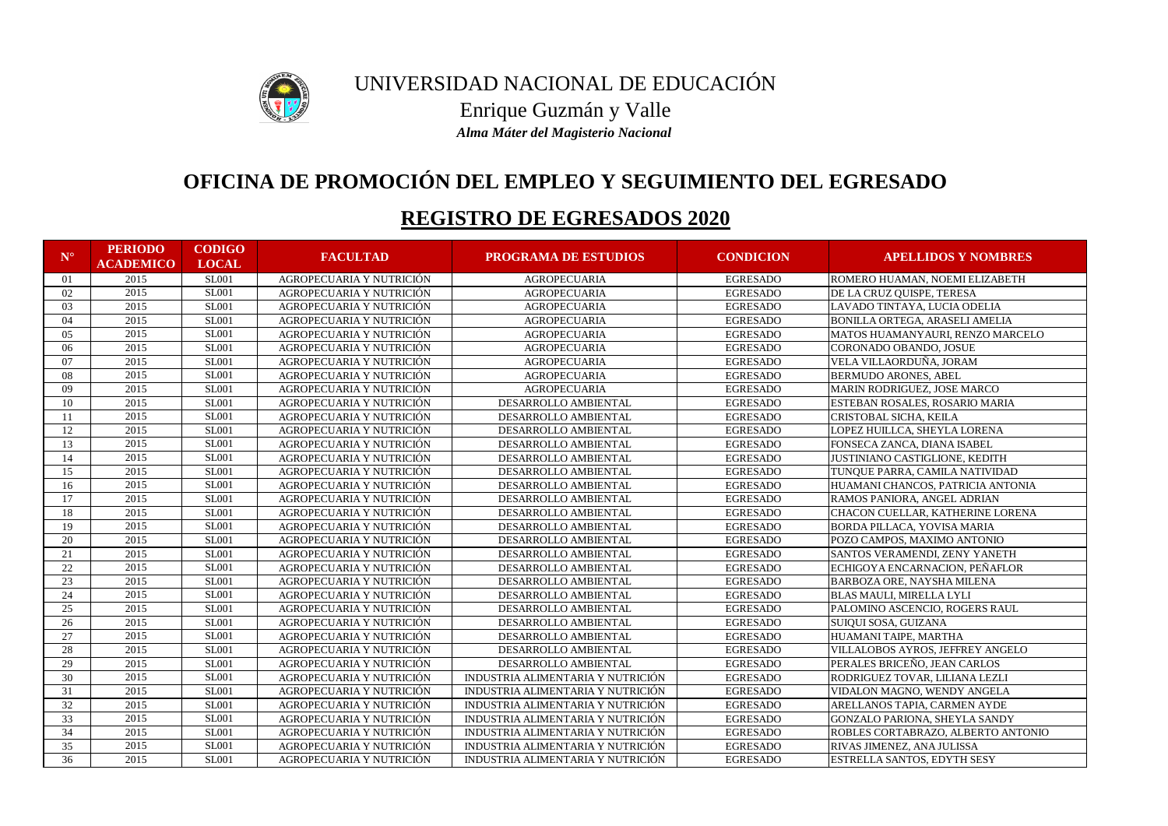| ${\bf N}^{\circ}$ | <b>PERIODO</b><br><b>ACADEMICO</b> | <b>CODIGO</b><br><b>LOCAL</b> | <b>FACULTAD</b>          | <b>PROGRAMA DE ESTUDIOS</b>       | <b>CONDICION</b> | <b>APELLIDOS Y NOMBRES</b>            |
|-------------------|------------------------------------|-------------------------------|--------------------------|-----------------------------------|------------------|---------------------------------------|
| 01                | 2015                               | <b>SL001</b>                  | AGROPECUARIA Y NUTRICIÓN | <b>AGROPECUARIA</b>               | <b>EGRESADO</b>  | ROMERO HUAMAN, NOEMI ELIZABETH        |
| 02                | 2015                               | <b>SL001</b>                  | AGROPECUARIA Y NUTRICIÓN | <b>AGROPECUARIA</b>               | <b>EGRESADO</b>  | DE LA CRUZ QUISPE, TERESA             |
| 03                | 2015                               | <b>SL001</b>                  | AGROPECUARIA Y NUTRICIÓN | <b>AGROPECUARIA</b>               | <b>EGRESADO</b>  | LAVADO TINTAYA, LUCIA ODELIA          |
| 04                | 2015                               | <b>SL001</b>                  | AGROPECUARIA Y NUTRICIÓN | <b>AGROPECUARIA</b>               | <b>EGRESADO</b>  | BONILLA ORTEGA, ARASELI AMELIA        |
| 05                | 2015                               | <b>SL001</b>                  | AGROPECUARIA Y NUTRICIÓN | <b>AGROPECUARIA</b>               | <b>EGRESADO</b>  | MATOS HUAMANYAURI, RENZO MARCELO      |
| 06                | 2015                               | <b>SL001</b>                  | AGROPECUARIA Y NUTRICIÓN | <b>AGROPECUARIA</b>               | <b>EGRESADO</b>  | CORONADO OBANDO, JOSUE                |
| 07                | 2015                               | <b>SL001</b>                  | AGROPECUARIA Y NUTRICIÓN | <b>AGROPECUARIA</b>               | <b>EGRESADO</b>  | VELA VILLAORDUÑA, JORAM               |
| 08                | 2015                               | <b>SL001</b>                  | AGROPECUARIA Y NUTRICIÓN | <b>AGROPECUARIA</b>               | <b>EGRESADO</b>  | <b>BERMUDO ARONES, ABEL</b>           |
| 09                | 2015                               | <b>SL001</b>                  | AGROPECUARIA Y NUTRICIÓN | <b>AGROPECUARIA</b>               | <b>EGRESADO</b>  | MARIN RODRIGUEZ, JOSE MARCO           |
| 10                | 2015                               | <b>SL001</b>                  | AGROPECUARIA Y NUTRICIÓN | DESARROLLO AMBIENTAL              | <b>EGRESADO</b>  | ESTEBAN ROSALES, ROSARIO MARIA        |
|                   | 2015                               | <b>SL001</b>                  | AGROPECUARIA Y NUTRICIÓN | DESARROLLO AMBIENTAL              | <b>EGRESADO</b>  | CRISTOBAL SICHA, KEILA                |
| 12                | 2015                               | <b>SL001</b>                  | AGROPECUARIA Y NUTRICIÓN | DESARROLLO AMBIENTAL              | <b>EGRESADO</b>  | LOPEZ HUILLCA, SHEYLA LORENA          |
| 13                | 2015                               | <b>SL001</b>                  | AGROPECUARIA Y NUTRICIÓN | DESARROLLO AMBIENTAL              | <b>EGRESADO</b>  | FONSECA ZANCA, DIANA ISABEL           |
| 14                | 2015                               | <b>SL001</b>                  | AGROPECUARIA Y NUTRICIÓN | DESARROLLO AMBIENTAL              | <b>EGRESADO</b>  | <b>JUSTINIANO CASTIGLIONE, KEDITH</b> |
| 15                | 2015                               | <b>SL001</b>                  | AGROPECUARIA Y NUTRICIÓN | DESARROLLO AMBIENTAL              | <b>EGRESADO</b>  | TUNQUE PARRA, CAMILA NATIVIDAD        |
| 16                | 2015                               | <b>SL001</b>                  | AGROPECUARIA Y NUTRICIÓN | DESARROLLO AMBIENTAL              | <b>EGRESADO</b>  | HUAMANI CHANCOS, PATRICIA ANTONIA     |
| 17                | 2015                               | <b>SL001</b>                  | AGROPECUARIA Y NUTRICIÓN | DESARROLLO AMBIENTAL              | <b>EGRESADO</b>  | RAMOS PANIORA, ANGEL ADRIAN           |
| 18                | 2015                               | <b>SL001</b>                  | AGROPECUARIA Y NUTRICIÓN | DESARROLLO AMBIENTAL              | <b>EGRESADO</b>  | CHACON CUELLAR, KATHERINE LORENA      |
| 19                | 2015                               | <b>SL001</b>                  | AGROPECUARIA Y NUTRICIÓN | DESARROLLO AMBIENTAL              | <b>EGRESADO</b>  | <b>BORDA PILLACA, YOVISA MARIA</b>    |
| 20                | 2015                               | <b>SL001</b>                  | AGROPECUARIA Y NUTRICIÓN | DESARROLLO AMBIENTAL              | <b>EGRESADO</b>  | POZO CAMPOS, MAXIMO ANTONIO           |
| 21                | 2015                               | <b>SL001</b>                  | AGROPECUARIA Y NUTRICIÓN | DESARROLLO AMBIENTAL              | <b>EGRESADO</b>  | SANTOS VERAMENDI, ZENY YANETH         |
| 22                | 2015                               | <b>SL001</b>                  | AGROPECUARIA Y NUTRICIÓN | DESARROLLO AMBIENTAL              | <b>EGRESADO</b>  | ECHIGOYA ENCARNACION, PEÑAFLOR        |
| 23                | 2015                               | <b>SL001</b>                  | AGROPECUARIA Y NUTRICIÓN | DESARROLLO AMBIENTAL              | <b>EGRESADO</b>  | <b>BARBOZA ORE, NAYSHA MILENA</b>     |
| 24                | 2015                               | <b>SL001</b>                  | AGROPECUARIA Y NUTRICIÓN | DESARROLLO AMBIENTAL              | <b>EGRESADO</b>  | <b>BLAS MAULI, MIRELLA LYLI</b>       |
| 25                | 2015                               | <b>SL001</b>                  | AGROPECUARIA Y NUTRICIÓN | DESARROLLO AMBIENTAL              | <b>EGRESADO</b>  | PALOMINO ASCENCIO, ROGERS RAUL        |
| 26                | 2015                               | <b>SL001</b>                  | AGROPECUARIA Y NUTRICIÓN | DESARROLLO AMBIENTAL              | <b>EGRESADO</b>  | SUIQUI SOSA, GUIZANA                  |
| 27                | 2015                               | <b>SL001</b>                  | AGROPECUARIA Y NUTRICIÓN | DESARROLLO AMBIENTAL              | <b>EGRESADO</b>  | HUAMANI TAIPE, MARTHA                 |
| 28                | 2015                               | <b>SL001</b>                  | AGROPECUARIA Y NUTRICIÓN | DESARROLLO AMBIENTAL              | <b>EGRESADO</b>  | VILLALOBOS AYROS, JEFFREY ANGELO      |
| 29                | 2015                               | <b>SL001</b>                  | AGROPECUARIA Y NUTRICIÓN | DESARROLLO AMBIENTAL              | <b>EGRESADO</b>  | PERALES BRICEÑO, JEAN CARLOS          |
| 30                | 2015                               | <b>SL001</b>                  | AGROPECUARIA Y NUTRICIÓN | INDUSTRIA ALIMENTARIA Y NUTRICIÓN | <b>EGRESADO</b>  | RODRIGUEZ TOVAR, LILIANA LEZLI        |
| 31                | 2015                               | <b>SL001</b>                  | AGROPECUARIA Y NUTRICIÓN | INDUSTRIA ALIMENTARIA Y NUTRICIÓN | <b>EGRESADO</b>  | VIDALON MAGNO, WENDY ANGELA           |
| 32                | 2015                               | <b>SL001</b>                  | AGROPECUARIA Y NUTRICIÓN | INDUSTRIA ALIMENTARIA Y NUTRICIÓN | <b>EGRESADO</b>  | ARELLANOS TAPIA, CARMEN AYDE          |
| 33                | 2015                               | <b>SL001</b>                  | AGROPECUARIA Y NUTRICIÓN | INDUSTRIA ALIMENTARIA Y NUTRICIÓN | <b>EGRESADO</b>  | GONZALO PARIONA, SHEYLA SANDY         |
| 34                | 2015                               | <b>SL001</b>                  | AGROPECUARIA Y NUTRICIÓN | INDUSTRIA ALIMENTARIA Y NUTRICIÓN | <b>EGRESADO</b>  | ROBLES CORTABRAZO, ALBERTO ANTONIO    |
| 35                | 2015                               | <b>SL001</b>                  | AGROPECUARIA Y NUTRICIÓN | INDUSTRIA ALIMENTARIA Y NUTRICIÓN | <b>EGRESADO</b>  | RIVAS JIMENEZ, ANA JULISSA            |
| 36                | 2015                               | <b>SL001</b>                  | AGROPECUARIA Y NUTRICIÓN | INDUSTRIA ALIMENTARIA Y NUTRICIÓN | <b>EGRESADO</b>  | <b>ESTRELLA SANTOS, EDYTH SESY</b>    |



# UNIVERSIDAD NACIONAL DE EDUCACIÓN Enrique Guzmán y Valle

*Alma Máter del Magisterio Nacional*

## **OFICINA DE PROMOCIÓN DEL EMPLEO Y SEGUIMIENTO DEL EGRESADO**

### **REGISTRO DE EGRESADOS 2020**